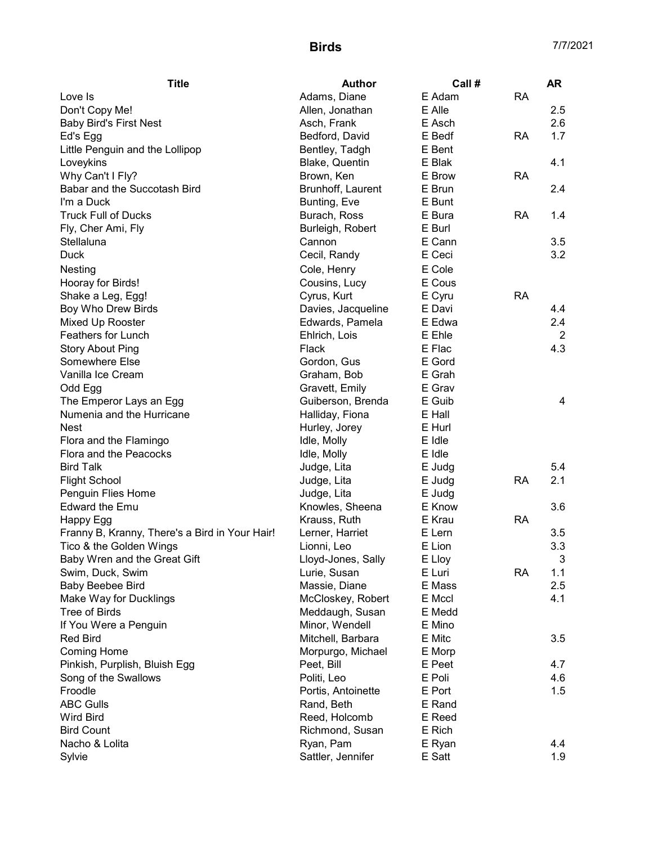| Adams, Diane<br>E Adam<br><b>RA</b><br>Love Is<br>Don't Copy Me!<br>E Alle<br>2.5<br>Allen, Jonathan | 2.6 |
|------------------------------------------------------------------------------------------------------|-----|
|                                                                                                      |     |
|                                                                                                      |     |
| <b>Baby Bird's First Nest</b><br>E Asch<br>Asch, Frank                                               |     |
| 1.7<br>Bedford, David<br>E Bedf<br><b>RA</b><br>Ed's Egg                                             |     |
| Bentley, Tadgh<br>Little Penguin and the Lollipop<br>E Bent                                          |     |
| Blake, Quentin<br>E Blak<br>4.1<br>Loveykins                                                         |     |
| <b>RA</b><br>Why Can't I Fly?<br>Brown, Ken<br>E Brow                                                |     |
| Babar and the Succotash Bird<br>E Brun<br>2.4<br>Brunhoff, Laurent                                   |     |
| I'm a Duck<br>Bunting, Eve<br>E Bunt                                                                 |     |
| <b>Truck Full of Ducks</b><br>Burach, Ross<br>E Bura<br><b>RA</b><br>1.4                             |     |
| Fly, Cher Ami, Fly<br>E Burl<br>Burleigh, Robert                                                     |     |
| E Cann<br>Stellaluna<br>3.5<br>Cannon                                                                |     |
| 3.2<br><b>Duck</b><br>Cecil, Randy<br>E Ceci                                                         |     |
| E Cole<br>Nesting<br>Cole, Henry                                                                     |     |
| E Cous<br>Cousins, Lucy<br>Hooray for Birds!                                                         |     |
| E Cyru<br>Cyrus, Kurt<br><b>RA</b><br>Shake a Leg, Egg!                                              |     |
| Boy Who Drew Birds<br>Davies, Jacqueline<br>4.4<br>E Davi                                            |     |
| 2.4<br>Mixed Up Rooster<br>Edwards, Pamela<br>E Edwa                                                 |     |
| Feathers for Lunch<br>Ehlrich, Lois<br>E Ehle                                                        | 2   |
| 4.3<br>E Flac<br><b>Story About Ping</b><br>Flack                                                    |     |
| Somewhere Else<br>E Gord<br>Gordon, Gus                                                              |     |
| Vanilla Ice Cream<br>Graham, Bob<br>E Grah                                                           |     |
| E Grav<br>Odd Egg<br>Gravett, Emily                                                                  |     |
| The Emperor Lays an Egg<br>Guiberson, Brenda<br>E Guib                                               | 4   |
| Numenia and the Hurricane<br>Halliday, Fiona<br>E Hall                                               |     |
| Hurley, Jorey<br>E Hurl<br><b>Nest</b>                                                               |     |
| Flora and the Flamingo<br>Idle, Molly<br>E Idle                                                      |     |
| Flora and the Peacocks<br>E Idle<br>Idle, Molly                                                      |     |
| 5.4<br><b>Bird Talk</b><br>Judge, Lita<br>E Judg                                                     |     |
| 2.1<br><b>Flight School</b><br>RA<br>Judge, Lita<br>E Judg                                           |     |
| Penguin Flies Home<br>E Judg<br>Judge, Lita                                                          |     |
| <b>Edward the Emu</b><br>Knowles, Sheena<br>3.6<br>E Know                                            |     |
| E Krau<br><b>RA</b><br>Happy Egg<br>Krauss, Ruth                                                     |     |
| Franny B, Kranny, There's a Bird in Your Hair!<br>E Lern<br>Lerner, Harriet<br>3.5                   |     |
| 3.3<br>Tico & the Golden Wings<br>E Lion<br>Lionni, Leo                                              |     |
| Baby Wren and the Great Gift<br>Lloyd-Jones, Sally<br>E Lloy                                         | 3   |
| Lurie, Susan<br>E Luri<br><b>RA</b><br>1.1<br>Swim, Duck, Swim                                       |     |
| Baby Beebee Bird<br>Massie, Diane<br>E Mass<br>2.5                                                   |     |
| Make Way for Ducklings<br>McCloskey, Robert<br>E Mccl<br>4.1                                         |     |
| <b>Tree of Birds</b><br>Meddaugh, Susan<br>E Medd                                                    |     |
| If You Were a Penguin<br>Minor, Wendell<br>E Mino                                                    |     |
| Mitchell, Barbara<br>3.5<br><b>Red Bird</b><br>E Mitc                                                |     |
| Morpurgo, Michael<br><b>Coming Home</b><br>E Morp                                                    |     |
| Pinkish, Purplish, Bluish Egg<br>Peet, Bill<br>E Peet<br>4.7                                         |     |
| Song of the Swallows<br>E Poli<br>4.6<br>Politi, Leo                                                 |     |
| Froodle<br>E Port<br>1.5<br>Portis, Antoinette                                                       |     |
| <b>ABC Gulls</b><br>Rand, Beth<br>E Rand                                                             |     |
| <b>Wird Bird</b><br>Reed, Holcomb<br>E Reed                                                          |     |
| <b>Bird Count</b><br>E Rich<br>Richmond, Susan                                                       |     |
| Nacho & Lolita<br>Ryan, Pam<br>4.4<br>E Ryan                                                         |     |
| Sattler, Jennifer<br>1.9<br>Sylvie<br>E Satt                                                         |     |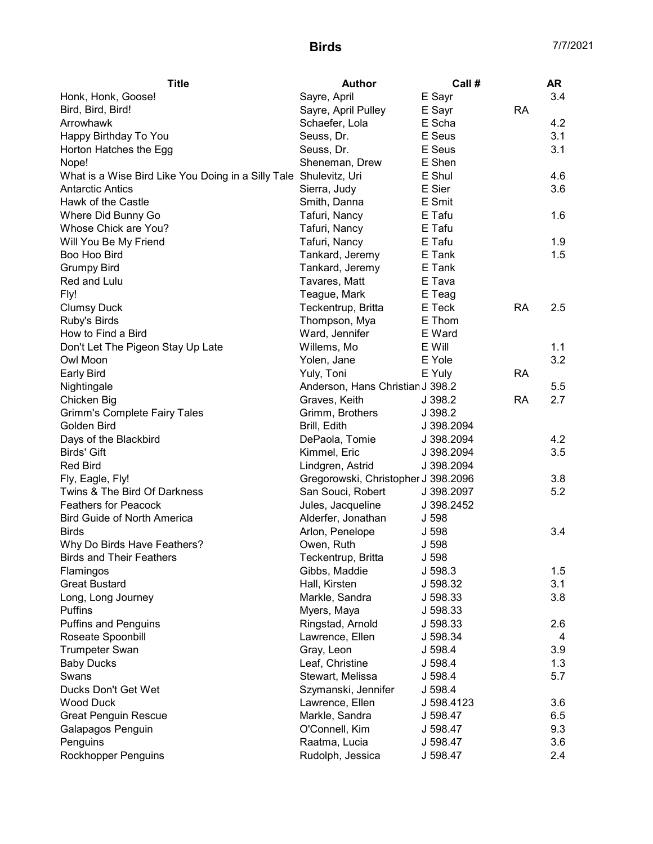| Sayre, April<br>E Sayr<br>3.4<br>Honk, Honk, Goose!<br>Sayre, April Pulley<br>E Sayr<br><b>RA</b><br>Bird, Bird, Bird!<br>4.2<br>Arrowhawk<br>Schaefer, Lola<br>E Scha<br>E Seus<br>3.1<br>Happy Birthday To You<br>Seuss, Dr.<br>3.1<br>Horton Hatches the Egg<br>Seuss, Dr.<br>E Seus |
|-----------------------------------------------------------------------------------------------------------------------------------------------------------------------------------------------------------------------------------------------------------------------------------------|
|                                                                                                                                                                                                                                                                                         |
|                                                                                                                                                                                                                                                                                         |
|                                                                                                                                                                                                                                                                                         |
|                                                                                                                                                                                                                                                                                         |
|                                                                                                                                                                                                                                                                                         |
| Sheneman, Drew<br>E Shen<br>Nope!                                                                                                                                                                                                                                                       |
| E Shul<br>4.6<br>What is a Wise Bird Like You Doing in a Silly Tale Shulevitz, Uri                                                                                                                                                                                                      |
| 3.6<br>Sierra, Judy<br>E Sier<br><b>Antarctic Antics</b>                                                                                                                                                                                                                                |
| Hawk of the Castle<br>Smith, Danna<br>E Smit                                                                                                                                                                                                                                            |
| Where Did Bunny Go<br>Tafuri, Nancy<br>E Tafu<br>1.6                                                                                                                                                                                                                                    |
| Whose Chick are You?<br>Tafuri, Nancy<br>E Tafu                                                                                                                                                                                                                                         |
| Will You Be My Friend<br>Tafuri, Nancy<br>E Tafu<br>1.9                                                                                                                                                                                                                                 |
| Boo Hoo Bird<br>Tankard, Jeremy<br>E Tank<br>1.5                                                                                                                                                                                                                                        |
| <b>Grumpy Bird</b><br>Tankard, Jeremy<br>E Tank                                                                                                                                                                                                                                         |
| Red and Lulu<br>Tavares, Matt<br>E Tava                                                                                                                                                                                                                                                 |
| Fly!<br>Teague, Mark<br>E Teag                                                                                                                                                                                                                                                          |
| Teckentrup, Britta<br>E Teck<br><b>RA</b><br>2.5<br><b>Clumsy Duck</b>                                                                                                                                                                                                                  |
| Ruby's Birds<br>Thompson, Mya<br>E Thom                                                                                                                                                                                                                                                 |
| Ward, Jennifer<br>How to Find a Bird<br>E Ward                                                                                                                                                                                                                                          |
| Willems, Mo<br>E Will<br>1.1<br>Don't Let The Pigeon Stay Up Late                                                                                                                                                                                                                       |
| 3.2<br>Owl Moon<br>Yolen, Jane<br>E Yole                                                                                                                                                                                                                                                |
| <b>Early Bird</b><br><b>RA</b><br>Yuly, Toni<br>E Yuly                                                                                                                                                                                                                                  |
| Nightingale<br>Anderson, Hans Christian J 398.2<br>5.5                                                                                                                                                                                                                                  |
| Chicken Big<br>Graves, Keith<br>J 398.2<br><b>RA</b><br>2.7                                                                                                                                                                                                                             |
| <b>Grimm's Complete Fairy Tales</b><br>Grimm, Brothers<br>J 398.2                                                                                                                                                                                                                       |
| Golden Bird<br>Brill, Edith<br>J 398.2094                                                                                                                                                                                                                                               |
| 4.2<br>Days of the Blackbird<br>DePaola, Tomie<br>J 398.2094                                                                                                                                                                                                                            |
| 3.5<br><b>Birds' Gift</b><br>Kimmel, Eric<br>J 398.2094                                                                                                                                                                                                                                 |
| <b>Red Bird</b><br>Lindgren, Astrid<br>J 398.2094                                                                                                                                                                                                                                       |
| Gregorowski, Christopher J 398.2096<br>3.8<br>Fly, Eagle, Fly!                                                                                                                                                                                                                          |
| Twins & The Bird Of Darkness<br>5.2<br>San Souci, Robert<br>J 398.2097                                                                                                                                                                                                                  |
| <b>Feathers for Peacock</b><br>Jules, Jacqueline<br>J 398.2452                                                                                                                                                                                                                          |
| <b>Bird Guide of North America</b><br>Alderfer, Jonathan<br>J 598                                                                                                                                                                                                                       |
| Arlon, Penelope<br>J 598<br>3.4<br><b>Birds</b>                                                                                                                                                                                                                                         |
| Owen, Ruth<br>Why Do Birds Have Feathers?<br>J 598                                                                                                                                                                                                                                      |
| Teckentrup, Britta<br>J 598<br><b>Birds and Their Feathers</b>                                                                                                                                                                                                                          |
| 1.5<br>Gibbs, Maddie<br>J 598.3<br>Flamingos                                                                                                                                                                                                                                            |
| <b>Great Bustard</b><br>Hall, Kirsten<br>J 598.32<br>3.1                                                                                                                                                                                                                                |
| 3.8<br>Markle, Sandra<br>Long, Long Journey<br>J 598.33                                                                                                                                                                                                                                 |
| Puffins<br>Myers, Maya<br>J 598.33                                                                                                                                                                                                                                                      |
| <b>Puffins and Penguins</b><br>Ringstad, Arnold<br>2.6<br>J 598.33                                                                                                                                                                                                                      |
| Roseate Spoonbill<br>Lawrence, Ellen<br>J 598.34<br>4                                                                                                                                                                                                                                   |
| <b>Trumpeter Swan</b><br>Gray, Leon<br>3.9<br>J 598.4                                                                                                                                                                                                                                   |
| <b>Baby Ducks</b><br>Leaf, Christine<br>1.3<br>J 598.4                                                                                                                                                                                                                                  |
| Swans<br>Stewart, Melissa<br>5.7<br>J 598.4                                                                                                                                                                                                                                             |
| Ducks Don't Get Wet<br>Szymanski, Jennifer<br>J 598.4                                                                                                                                                                                                                                   |
| <b>Wood Duck</b><br>Lawrence, Ellen<br>3.6<br>J 598.4123                                                                                                                                                                                                                                |
| Markle, Sandra<br>6.5<br><b>Great Penguin Rescue</b><br>J 598.47                                                                                                                                                                                                                        |
| Galapagos Penguin<br>O'Connell, Kim<br>9.3<br>J 598.47                                                                                                                                                                                                                                  |
| Penguins<br>Raatma, Lucia<br>3.6<br>J 598.47                                                                                                                                                                                                                                            |
| <b>Rockhopper Penguins</b><br>Rudolph, Jessica<br>J 598.47<br>2.4                                                                                                                                                                                                                       |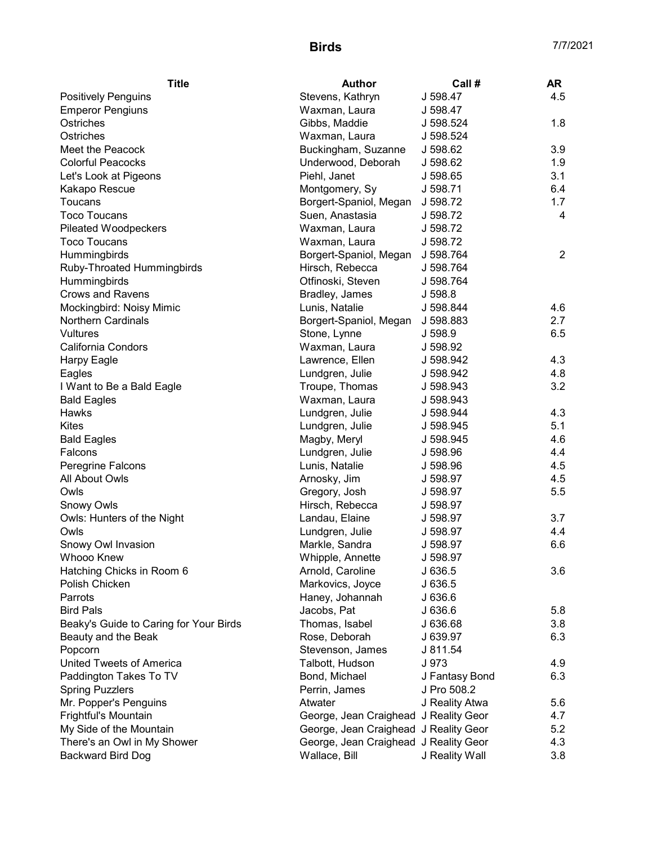| <b>Title</b>                                | <b>Author</b>                         | Call #               | <b>AR</b>      |
|---------------------------------------------|---------------------------------------|----------------------|----------------|
| <b>Positively Penguins</b>                  | Stevens, Kathryn                      | J 598.47             | 4.5            |
| <b>Emperor Pengiuns</b>                     | Waxman, Laura                         | J 598.47             |                |
| Ostriches                                   | Gibbs, Maddie                         | J 598.524            | 1.8            |
| Ostriches                                   | Waxman, Laura                         | J 598.524            |                |
| Meet the Peacock                            | Buckingham, Suzanne                   | J 598.62             | 3.9            |
| <b>Colorful Peacocks</b>                    | Underwood, Deborah                    | J 598.62             | 1.9            |
| Let's Look at Pigeons                       | Piehl, Janet                          | J 598.65             | 3.1            |
| Kakapo Rescue                               | Montgomery, Sy                        | J 598.71             | 6.4            |
| Toucans                                     | Borgert-Spaniol, Megan                | J 598.72             | 1.7            |
| <b>Toco Toucans</b>                         | Suen, Anastasia                       | J 598.72             | 4              |
| <b>Pileated Woodpeckers</b>                 | Waxman, Laura                         | J 598.72             |                |
| <b>Toco Toucans</b>                         | Waxman, Laura                         | J 598.72             |                |
| Hummingbirds                                | Borgert-Spaniol, Megan J 598.764      |                      | $\overline{2}$ |
| Ruby-Throated Hummingbirds                  | Hirsch, Rebecca                       | J 598.764            |                |
| Hummingbirds                                | Otfinoski, Steven                     | J 598.764            |                |
| <b>Crows and Ravens</b>                     | Bradley, James                        | J 598.8              |                |
| Mockingbird: Noisy Mimic                    | Lunis, Natalie                        | J 598.844            | 4.6            |
| <b>Northern Cardinals</b>                   | Borgert-Spaniol, Megan                | J 598.883            | 2.7            |
| Vultures                                    | Stone, Lynne                          | J 598.9              | 6.5            |
| <b>California Condors</b>                   | Waxman, Laura                         | J 598.92             |                |
| Harpy Eagle                                 | Lawrence, Ellen                       | J 598.942            | 4.3            |
| Eagles                                      | Lundgren, Julie                       | J 598.942            | 4.8            |
| I Want to Be a Bald Eagle                   | Troupe, Thomas                        | J 598.943            | 3.2            |
| <b>Bald Eagles</b>                          | Waxman, Laura                         | J 598.943            |                |
| Hawks                                       | Lundgren, Julie                       | J 598.944            | 4.3            |
| <b>Kites</b>                                | Lundgren, Julie                       | J 598.945            | 5.1            |
| <b>Bald Eagles</b>                          | Magby, Meryl                          | J 598.945            | 4.6            |
| Falcons                                     | Lundgren, Julie                       | J 598.96             | 4.4            |
| Peregrine Falcons                           | Lunis, Natalie                        | J 598.96             | 4.5            |
| All About Owls                              | Arnosky, Jim                          | J 598.97             | 4.5            |
| Owls                                        | Gregory, Josh                         | J 598.97             | 5.5            |
| <b>Snowy Owls</b>                           | Hirsch, Rebecca                       | J 598.97             |                |
| Owls: Hunters of the Night                  | Landau, Elaine                        | J 598.97             | 3.7            |
| Owls                                        | Lundgren, Julie                       | J 598.97             | 4.4            |
| Snowy Owl Invasion                          | Markle, Sandra                        |                      | 6.6            |
| Whooo Knew                                  |                                       | J 598.97<br>J 598.97 |                |
|                                             | Whipple, Annette                      |                      |                |
| Hatching Chicks in Room 6<br>Polish Chicken | Arnold, Caroline                      | J 636.5              | 3.6            |
|                                             | Markovics, Joyce                      | J 636.5              |                |
| Parrots                                     | Haney, Johannah                       | J 636.6              |                |
| <b>Bird Pals</b>                            | Jacobs, Pat                           | J 636.6              | 5.8            |
| Beaky's Guide to Caring for Your Birds      | Thomas, Isabel                        | J 636.68             | 3.8            |
| Beauty and the Beak                         | Rose, Deborah                         | J 639.97             | 6.3            |
| Popcorn                                     | Stevenson, James                      | J 811.54             |                |
| United Tweets of America                    | Talbott, Hudson                       | J 973                | 4.9            |
| Paddington Takes To TV                      | Bond, Michael                         | J Fantasy Bond       | 6.3            |
| <b>Spring Puzzlers</b>                      | Perrin, James                         | J Pro 508.2          |                |
| Mr. Popper's Penguins                       | Atwater                               | J Reality Atwa       | 5.6            |
| Frightful's Mountain                        | George, Jean Craighead J Reality Geor |                      | 4.7            |
| My Side of the Mountain                     | George, Jean Craighead J Reality Geor |                      | 5.2            |
| There's an Owl in My Shower                 | George, Jean Craighead J Reality Geor |                      | 4.3            |
| Backward Bird Dog                           | Wallace, Bill                         | J Reality Wall       | 3.8            |